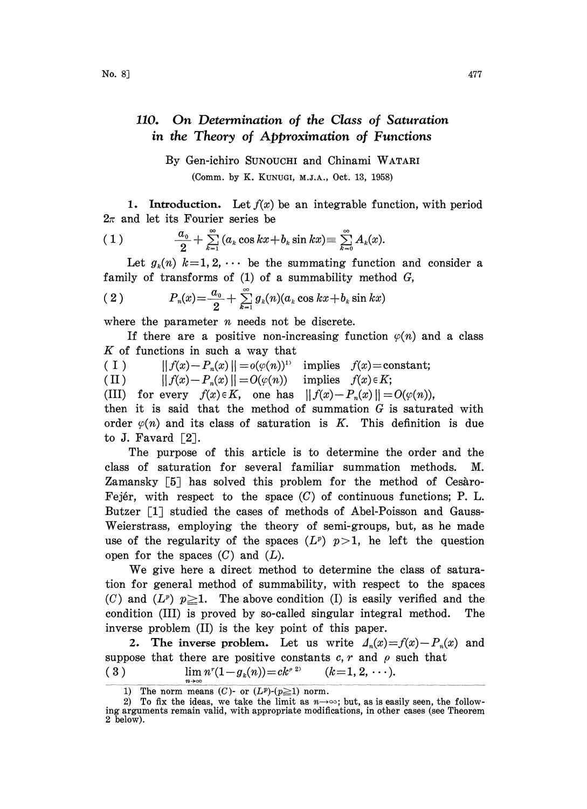## 110. On Determination of the Class of Saturation in the Theory of Approximation of Functions

By Gen-ichiro SUNOUCHI and Chinami WATARI (Comm. by K. KUNUG, M.J.A., Oct. 13, 1958)

1. Introduction. Let  $f(x)$  be an integrable function, with period  $2\pi$  and let its Fourier series be

(1) 
$$
\frac{a_0}{2} + \sum_{k=1}^{\infty} (a_k \cos kx + b_k \sin kx) \equiv \sum_{k=0}^{\infty} A_k(x).
$$

Let  $g_k(n)$   $k=1, 2, \cdots$  be the summating function and consider a family of transforms of  $(1)$  of a summability method  $G$ ,

(2) 
$$
P_n(x) = \frac{a_0}{2} + \sum_{k=1}^{\infty} g_k(n) (a_k \cos kx + b_k \sin kx)
$$

where the parameter  $n$  needs not be discrete.

 $=\frac{\omega_0}{2}+\sum_{k=1} g_k(n)(a_k \cos kx+b_k \sin kx)$ <br>eter *n* needs not be discrete.<br>a positive non-increasing function<br>i such a way that If there are a positive non-increasing function  $\varphi(n)$  and a class  $K$  of functions in such a way that

(I)  $|| f(x)-P_n(x)|| = o(\varphi(n))^{\nu}$  implies  $f(x) = constant;$ 

(II)  $|| f(x)-P_n(x)||=O(\varphi(n))$  implies  $f(x)\in K;$ 

(III) for every  $f(x) \in K$ , one has  $|| f(x) - P_n(x)|| = O(\varphi(n)),$ 

then it is said that the method of summation  $G$  is saturated with order  $\varphi(n)$  and its class of saturation is K. This definition is due to J. Favard  $\lceil 2 \rceil$ .

The purpose of this article is to determine the order and the class of saturation for several familiar summation methods. M. Zamansky [5] has solved this problem for the method of Cesaro-Fejér, with respect to the space  $(C)$  of continuous functions; P. L. Butzer [1] studied the cases of methods of Abel-Poisson and Gauss-Weierstrass, employing the theory of semi-groups, but, as he made use of the regularity of the spaces  $(L^p)$   $p>1$ , he left the question open for the spaces  $(C)$  and  $(L)$ .

We give here <sup>a</sup> direct method to determine the class of saturation for general method of summability, with respect to the spaces (C) and  $(L^p)$   $p \ge 1$ . The above condition (I) is easily verified and the condition (III) is proved by so-called singular integral method. The inverse problem (II) is the key point of this paper.

2. The inverse problem. Let us write  $\Delta_n(x)=f(x)-P_n(x)$  and suppose that there are positive constants  $c, r$  and  $\rho$  such that (3)  $\lim n^{r}(1-g_{k}(n))=ck^{e^{2s}} \qquad (k=1, 2, \cdots).$ 

<sup>1)</sup> The norm means  $(C)$ - or  $(L^p)-(p\geq 1)$  norm.

<sup>2)</sup> To fix the ideas, we take the limit as  $n \rightarrow \infty$ ; but, as is easily seen, the following arguments remain valid, with appropriate modifications, in other cases (see Theorem 2 below).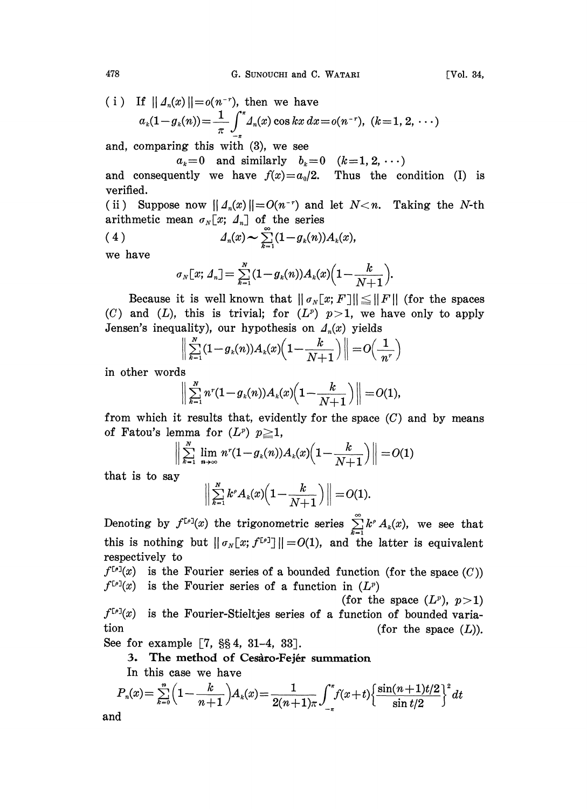478 G. SUNOUCHI and C. WATARI [Vol. 34,

(i) If 
$$
|| d_n(x)|| = o(n^{-r})
$$
, then we have  

$$
a_k(1 - g_k(n)) = \frac{1}{\pi} \int_{-\pi}^{\pi} A_n(x) \cos kx \, dx = o(n^{-r}), \ (k = 1, 2, \dots)
$$

and, comparing this with (3), we see

$$
a_k=0
$$
 and similarly  $b_k=0$   $(k=1, 2, \cdots)$ 

and consequently we have  $f(x)=a_0/2$ . Thus the condition (I) is verified.

(ii) Suppose now  $||A_n(x)||=O(n^{-r})$  and let  $N. Taking the N-th$ arithmetic mean  $\sigma_N[x; \Lambda_n]$  of the series

$$
(4) \qquad \qquad d_n(x) \sim \sum_{k=1}^{\infty} (1 - g_k(n)) A_k(x),
$$

we have

$$
\sigma_N[x; \Delta_n] = \sum_{k=1}^N (1 - g_k(n)) A_k(x) \Big(1 - \frac{k}{N+1}\Big).
$$

Because it is well known that  $||\sigma_N[x; F]|| \le ||F||$  (for the spaces (C) and (L), this is trivial; for  $(L^p)$   $p>1$ , we have only to apply Jensen's inequality), our hypothesis on  $\Lambda_n(x)$  yields

$$
\sum_{k=1}^N (1 - g_k(n)) A_k(x) \left(1 - \frac{k}{N+1}\right) \Big\| = O\Big(\frac{1}{n^r}\Big)
$$

in other words

$$
\left\|\sum_{k=1}^N n^r(1-g_k(n))A_k(x)\Big(1-\frac{k}{N+1}\Big)\right\|=O(1),
$$

from which it results that, evidently for the space  $(C)$  and by means of Fatou's lemma for  $(L^p)$   $p \geq 1$ ,

$$
\left\| \sum_{k=1}^N \lim_{n \to \infty} n^r (1 - g_k(n)) A_k(x) \left( 1 - \frac{k}{N+1} \right) \right\| = O(1)
$$
  

that is to say

$$
\left\|\sum_{k=1}^N k^{\rho}A_k(x)\Big(1-\frac{k}{N+1}\Big)\right\|=O(1).
$$

Denoting by  $f^{[r]}(x)$  the trigonometric series  $\sum_{k=1}^{\infty} k^r A_k(x)$ , we see that this is nothing but  $|| \sigma_N[x; f^{[p]}] || = O(1)$ , and the latter is equivalent respectively to

 $f^{[r]}(x)$  is the Fourier series of a bounded function (for the space  $(C)$ )  $f^{[\rho]}(x)$  is the Fourier series of a function in  $(L^p)$ 

(for the space  $(L^p)$ ,  $p>1$ )  $f^{[\rho]}(x)$  is the Fourier-Stieltjes series of a function of bounded variation  $(f \text{or} \text{the space } (L)).$ 

See for example  $[7, \S_{\S}4, 31-4, 33]$ .

3. The method of Cesàro-Fejér summation

In this case we have

$$
P_n(x) = \sum_{k=0}^n \left(1 - \frac{k}{n+1}\right) A_k(x) = \frac{1}{2(n+1)\pi} \int_{-\pi}^{\pi} f(x+t) \left\{\frac{\sin((n+1)t/2)}{\sin(t/2)}\right\}^2 dt
$$

and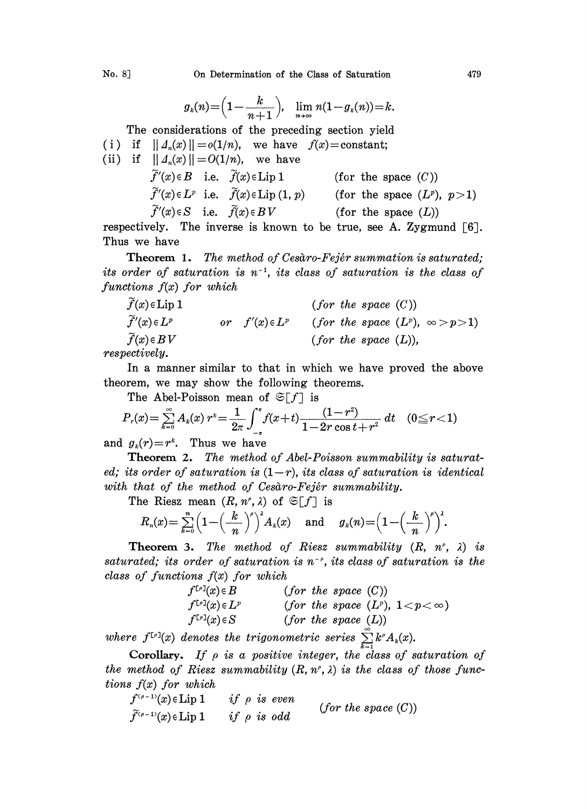$$
g_k(n) = \left(1 - \frac{k}{n+1}\right), \quad \lim_{n \to \infty} n(1 - g_k(n)) = k.
$$

The considerations of the preceding section yield (i) if  $|| \Delta_n(x) || = o(1/n)$ , we have  $f(x) = constant$ ; (ii) if  $|| \Delta_n(x) || = O(1/n)$ , we have  $f'(x) \in B$  i.e.  $f(x) \in \text{Lip } 1$  (for the space  $(C)$ )  $\widetilde{f}'(x) \in L^p$  i.e.  $\widetilde{f}(x) \in \text{Lip}(1, p)$  (for the space  $(L^p)$ ,  $p > 1$ )  $\widetilde{f}'(x) \in S$  i.e.  $\widetilde{f}(x) \in BV$  (for the space  $(L)$ )

respectively. The inverse is known to be true, see A. Zygmund  $[6]$ . Thus we have

**Theorem 1.** The method of Cesaro-Fejér summation is saturated; its order of saturation is  $n^{-1}$ , its class of saturation is the class of functions  $f(x)$  for which

 $f(x) \in \text{Lip 1}$  (for the space  $(C)$ )  $\widetilde{f}'(x) \in L^p$  or  $f'(x) \in L^p$  (for the space  $(L^p)$ ,  $\infty > p > 1$ )  $\widetilde{f}(x) \in BV$  (for the space (L)),

respectively.

In a manner similar to that in which we have proved the above theorem, we may show the following theorems.

The Abel-Poisson mean of 
$$
\mathfrak{S}[f]
$$
 is  
\n
$$
P_r(x) = \sum_{k=0}^{\infty} A_k(x) r^k = \frac{1}{2\pi} \int_{-\pi}^{\pi} f(x+t) \frac{(1-r^2)}{1-2r\cos t + r^2} dt \quad (0 \le r < 1)
$$

and  $g_k(r)=r^k$ . Thus we have

Theorem 2. The method of Abel-Poisson summability is saturated; its order of saturation is  $(1-r)$ , its class of saturation is identical with that of the method of Cesaro-Fejér summability.

The Riesz mean  $(R, n^e, \lambda)$  of  $\mathfrak{S}[f]$  is

$$
R_n(x) = \sum_{k=0}^n \left(1-\left(\frac{k}{n}\right)^p\right)^k A_k(x) \quad \text{and} \quad g_k(n) = \left(1-\left(\frac{k}{n}\right)^p\right)^k.
$$

**Theorem 3.** The method of Riesz summability  $(R, n^{\rho}, \lambda)$  is saturated; its order of saturation is  $n^{-\rho}$ , its class of saturation is the class of functions  $f(x)$  for which

$$
f^{[r]}(x) \in B
$$
 (for the space (C))  
\n
$$
f^{[r]}(x) \in L^p
$$
 (for the space (L<sup>p</sup>), 1 < p < \infty)  
\n
$$
f^{[r]}(x) \in S
$$
 (for the space (L))

where  $f^{[p]}(x)$  denotes the trigonometric series  $\sum_{k=1}^{\infty} k^{\rho} A_k(x)$ .

Corollary. If  $\rho$  is a positive integer, the class of saturation of the method of Riesz summability  $(R, n^{\rho}, \lambda)$  is the class of those functions  $f(x)$  for which

$$
f^{(p-1)}(x) \in \text{Lip 1} \qquad \text{if } \rho \text{ is even} \qquad \text{(for the space (C))}
$$
\n
$$
\tilde{f}^{(p-1)}(x) \in \text{Lip 1} \qquad \text{if } \rho \text{ is odd}
$$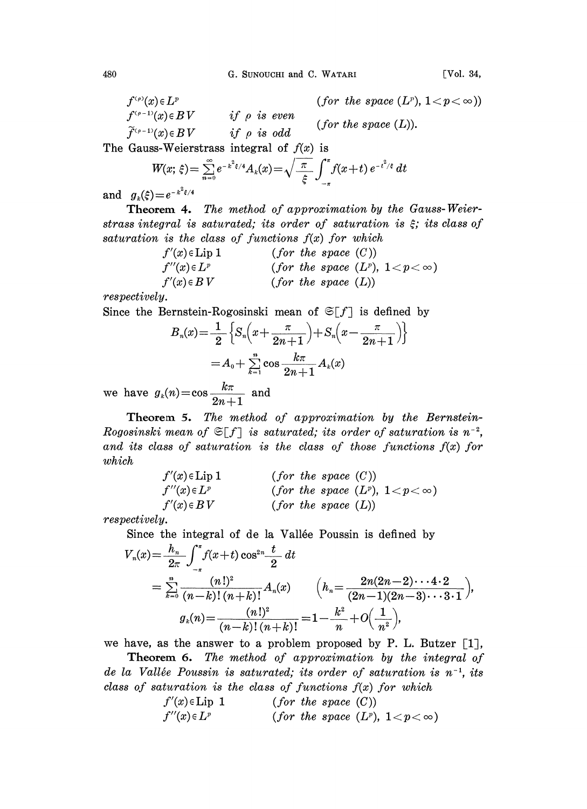$$
f^{(\rho)}(x) \in L^p
$$
 (for the space  $(L^p)$ ,  $1 < p < \infty$ )  
\n
$$
f^{(\rho-1)}(x) \in BV
$$
 if  $\rho$  is even (for the space  $(L)$ ).  
\n
$$
\tilde{f}^{(\rho-1)}(x) \in BV
$$
 if  $\rho$  is odd (for the space  $(L)$ ).

The Gauss-Weierstrass integral of  $f(x)$  is

$$
W(x;\,\xi) = \sum_{n=0}^{\infty} e^{-k^2\xi/4} A_k(x) = \sqrt{\frac{\pi}{\xi}} \int_{-\pi}^{\pi} f(x+t) \, e^{-t^2/\xi} \, dt
$$

and  $g_k(\xi) = e^{-k^2 \xi/4}$ 

Theorem 4. The method of approximation by the Gauss-Weierstrass integral is saturated; its order of saturation is  $\xi$ ; its class of saturation is the class of functions  $f(x)$  for which

> $f'(x) \in \text{Lip 1}$  (for the space  $(C)$ )  $f''(x) \in L^p$  (for the space  $(L^p)$ ,  $1 < p < \infty$ )<br>  $f'(x) \in BV$  (for the space  $(L)$ ) (for the space  $(L)$ )

respectively.

Since the Bernstein-Rogosinski mean of  $\mathfrak{S}[f]$  is defined by

$$
B_n(x) = \frac{1}{2} \left\{ S_n \left( x + \frac{\pi}{2n+1} \right) + S_n \left( x - \frac{\pi}{2n+1} \right) \right\}
$$
  
=  $A_0 + \sum_{k=1}^n \cos \frac{k\pi}{2n+1} A_k(x)$ 

we have  $g_k(n) = \cos \frac{k\pi}{2n+1}$  and

Theorem 5. The method of approximation by the Bernstein-Rogosinski mean of  $\mathfrak{S}[f]$  is saturated; its order of saturation is  $n^{-2}$ , and its class of saturation is the class of those functions  $f(x)$  for which

$$
f'(x) \in Lip 1
$$
 (for the space (C))  

$$
f''(x) \in L^p
$$
 (for the space (L<sup>p</sup>), 1 < p < \infty)  

$$
f'(x) \in BV
$$
 (for the space (L))

respectively.

Since the integral of de la Vallée Poussin is defined by

$$
V_n(x) = \frac{h_n}{2\pi} \int_{-\pi}^{\pi} f(x+t) \cos^{2n} \frac{t}{2} dt
$$
  
= 
$$
\sum_{k=0}^{n} \frac{(n!)^2}{(n-k)!(n+k)!} A_n(x) \qquad \left( h_n = \frac{2n(2n-2)\cdots 4\cdot 2}{(2n-1)(2n-3)\cdots 3\cdot 1} \right),
$$
  

$$
g_k(n) = \frac{(n!)^2}{(n-k)!(n+k)!} = 1 - \frac{k^2}{n} + O\left(\frac{1}{n^2}\right),
$$

we have, as the answer to a problem proposed by P. L. Butzer  $\lceil 1 \rceil$ ,

**Theorem 6.** The method of approximation by the integral of de la Vallée Poussin is saturated; its order of saturation is  $n^{-1}$ , its class of saturation is the class of functions  $f(x)$  for which

$$
f'(x) \in Lip 1
$$
 (for the space (C))  

$$
f''(x) \in L^p
$$
 (for the space (L<sup>p</sup>), 1 < p < \infty)